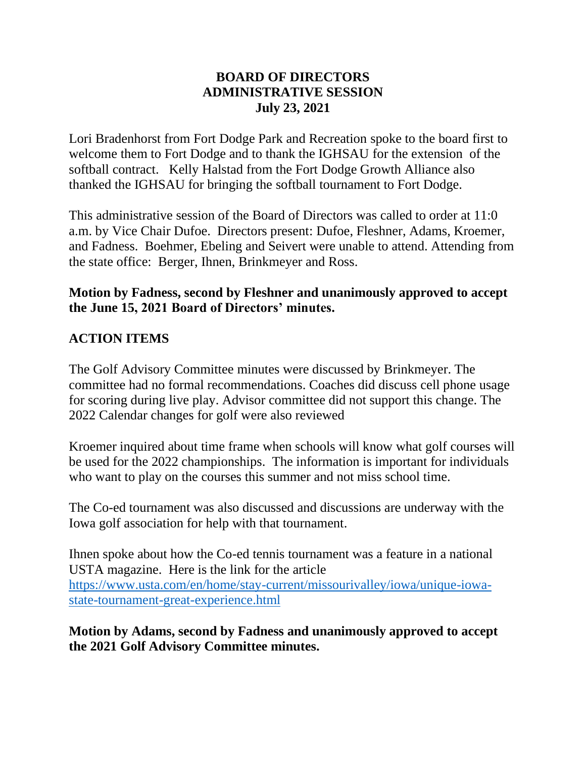#### **BOARD OF DIRECTORS ADMINISTRATIVE SESSION July 23, 2021**

Lori Bradenhorst from Fort Dodge Park and Recreation spoke to the board first to welcome them to Fort Dodge and to thank the IGHSAU for the extension of the softball contract. Kelly Halstad from the Fort Dodge Growth Alliance also thanked the IGHSAU for bringing the softball tournament to Fort Dodge.

This administrative session of the Board of Directors was called to order at 11:0 a.m. by Vice Chair Dufoe. Directors present: Dufoe, Fleshner, Adams, Kroemer, and Fadness. Boehmer, Ebeling and Seivert were unable to attend. Attending from the state office: Berger, Ihnen, Brinkmeyer and Ross.

## **Motion by Fadness, second by Fleshner and unanimously approved to accept the June 15, 2021 Board of Directors' minutes.**

#### **ACTION ITEMS**

The Golf Advisory Committee minutes were discussed by Brinkmeyer. The committee had no formal recommendations. Coaches did discuss cell phone usage for scoring during live play. Advisor committee did not support this change. The 2022 Calendar changes for golf were also reviewed

Kroemer inquired about time frame when schools will know what golf courses will be used for the 2022 championships. The information is important for individuals who want to play on the courses this summer and not miss school time.

The Co-ed tournament was also discussed and discussions are underway with the Iowa golf association for help with that tournament.

Ihnen spoke about how the Co-ed tennis tournament was a feature in a national USTA magazine. Here is the link for the article [https://www.usta.com/en/home/stay-current/missourivalley/iowa/unique-iowa](https://www.usta.com/en/home/stay-current/missourivalley/iowa/unique-iowa-state-tournament-great-experience.html)[state-tournament-great-experience.html](https://www.usta.com/en/home/stay-current/missourivalley/iowa/unique-iowa-state-tournament-great-experience.html)

#### **Motion by Adams, second by Fadness and unanimously approved to accept the 2021 Golf Advisory Committee minutes.**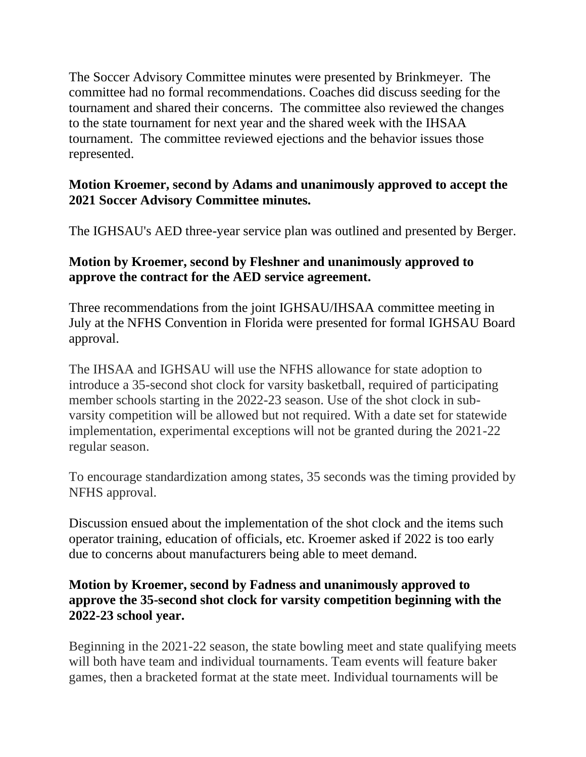The Soccer Advisory Committee minutes were presented by Brinkmeyer. The committee had no formal recommendations. Coaches did discuss seeding for the tournament and shared their concerns. The committee also reviewed the changes to the state tournament for next year and the shared week with the IHSAA tournament. The committee reviewed ejections and the behavior issues those represented.

## **Motion Kroemer, second by Adams and unanimously approved to accept the 2021 Soccer Advisory Committee minutes.**

The IGHSAU's AED three-year service plan was outlined and presented by Berger.

# **Motion by Kroemer, second by Fleshner and unanimously approved to approve the contract for the AED service agreement.**

Three recommendations from the joint IGHSAU/IHSAA committee meeting in July at the NFHS Convention in Florida were presented for formal IGHSAU Board approval.

The IHSAA and IGHSAU will use the NFHS allowance for state adoption to introduce a 35-second shot clock for varsity basketball, required of participating member schools starting in the 2022-23 season. Use of the shot clock in subvarsity competition will be allowed but not required. With a date set for statewide implementation, experimental exceptions will not be granted during the 2021-22 regular season.

To encourage standardization among states, 35 seconds was the timing provided by NFHS approval.

Discussion ensued about the implementation of the shot clock and the items such operator training, education of officials, etc. Kroemer asked if 2022 is too early due to concerns about manufacturers being able to meet demand.

## **Motion by Kroemer, second by Fadness and unanimously approved to approve the 35-second shot clock for varsity competition beginning with the 2022-23 school year.**

Beginning in the 2021-22 season, the state bowling meet and state qualifying meets will both have team and individual tournaments. Team events will feature baker games, then a bracketed format at the state meet. Individual tournaments will be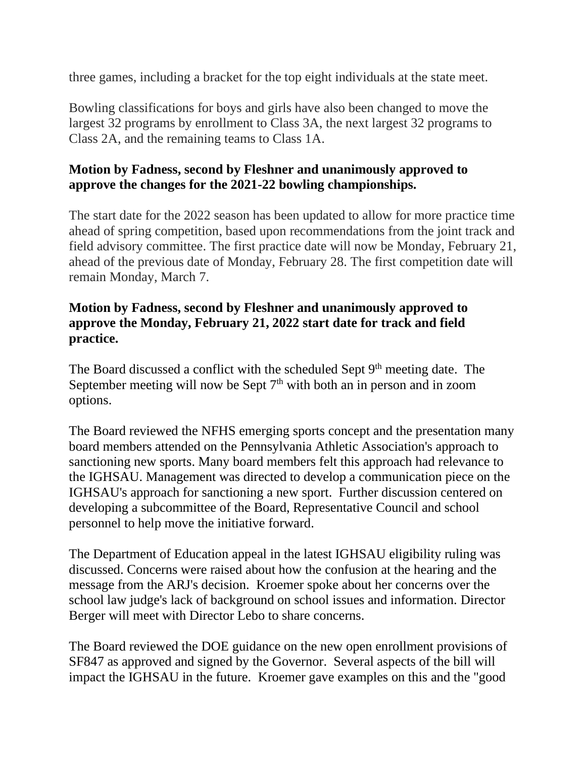three games, including a bracket for the top eight individuals at the state meet.

Bowling classifications for boys and girls have also been changed to move the largest 32 programs by enrollment to Class 3A, the next largest 32 programs to Class 2A, and the remaining teams to Class 1A.

## **Motion by Fadness, second by Fleshner and unanimously approved to approve the changes for the 2021-22 bowling championships.**

The start date for the 2022 season has been updated to allow for more practice time ahead of spring competition, based upon recommendations from the joint track and field advisory committee. The first practice date will now be Monday, February 21, ahead of the previous date of Monday, February 28. The first competition date will remain Monday, March 7.

## **Motion by Fadness, second by Fleshner and unanimously approved to approve the Monday, February 21, 2022 start date for track and field practice.**

The Board discussed a conflict with the scheduled Sept  $9<sup>th</sup>$  meeting date. The September meeting will now be Sept  $7<sup>th</sup>$  with both an in person and in zoom options.

The Board reviewed the NFHS emerging sports concept and the presentation many board members attended on the Pennsylvania Athletic Association's approach to sanctioning new sports. Many board members felt this approach had relevance to the IGHSAU. Management was directed to develop a communication piece on the IGHSAU's approach for sanctioning a new sport. Further discussion centered on developing a subcommittee of the Board, Representative Council and school personnel to help move the initiative forward.

The Department of Education appeal in the latest IGHSAU eligibility ruling was discussed. Concerns were raised about how the confusion at the hearing and the message from the ARJ's decision. Kroemer spoke about her concerns over the school law judge's lack of background on school issues and information. Director Berger will meet with Director Lebo to share concerns.

The Board reviewed the DOE guidance on the new open enrollment provisions of SF847 as approved and signed by the Governor. Several aspects of the bill will impact the IGHSAU in the future. Kroemer gave examples on this and the "good